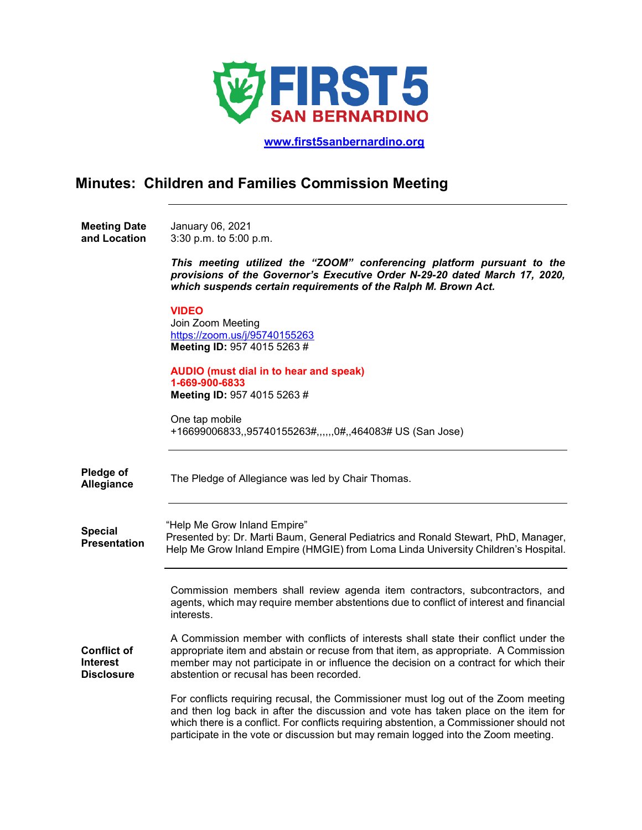

 **[www.first5sanbernardino.org](http://www.first5sanbernardino.org/)**

## **Minutes: Children and Families Commission Meeting**

**Meeting Date and Location**  January 06, 2021 3:30 p.m. to 5:00 p.m.

> *This meeting utilized the "ZOOM" conferencing platform pursuant to the provisions of the Governor's Executive Order N-29-20 dated March 17, 2020, which suspends certain requirements of the Ralph M. Brown Act.*

## **VIDEO**

Join Zoom Meeting <https://zoom.us/j/95740155263> **Meeting ID:** 957 4015 5263 #

**AUDIO (must dial in to hear and speak) 1-669-900-6833 Meeting ID:** 957 4015 5263 #

One tap mobile +16699006833,,95740155263#,,,,,,0#,,464083# US (San Jose)

**Pledge of Allegiance** The Pledge of Allegiance was led by Chair Thomas.

**Special Presentation** "Help Me Grow Inland Empire" Presented by: Dr. Marti Baum, General Pediatrics and Ronald Stewart, PhD, Manager, Help Me Grow Inland Empire (HMGIE) from Loma Linda University Children's Hospital.

> Commission members shall review agenda item contractors, subcontractors, and agents, which may require member abstentions due to conflict of interest and financial interests.

**Conflict of Interest Disclosure** A Commission member with conflicts of interests shall state their conflict under the appropriate item and abstain or recuse from that item, as appropriate. A Commission member may not participate in or influence the decision on a contract for which their abstention or recusal has been recorded.

> For conflicts requiring recusal, the Commissioner must log out of the Zoom meeting and then log back in after the discussion and vote has taken place on the item for which there is a conflict. For conflicts requiring abstention, a Commissioner should not participate in the vote or discussion but may remain logged into the Zoom meeting.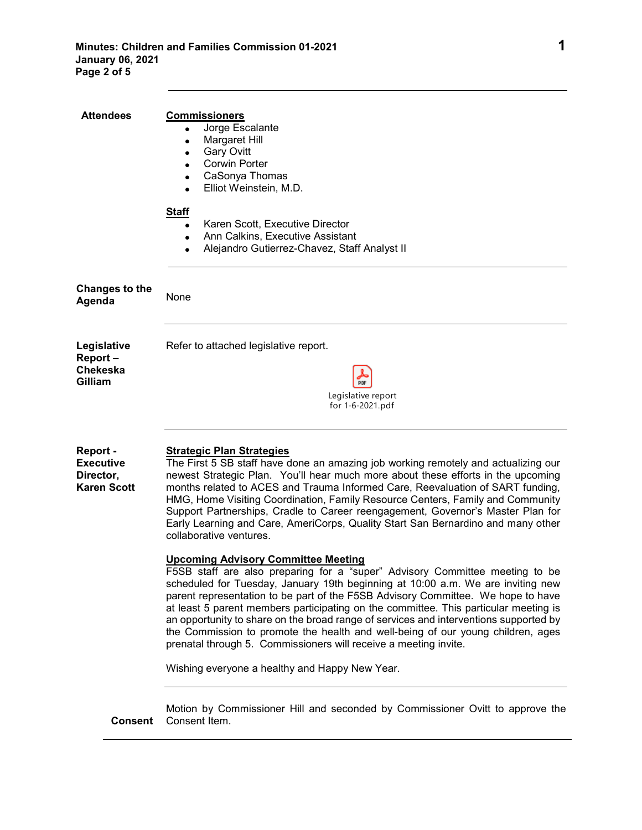| <b>Attendees</b>                                                | <b>Commissioners</b><br>Jorge Escalante<br>Margaret Hill<br><b>Gary Ovitt</b><br><b>Corwin Porter</b><br>CaSonya Thomas<br>$\bullet$<br>Elliot Weinstein, M.D.<br>$\bullet$<br><b>Staff</b>                                                                                                                                                                                                                                                                                                                                                                                                                                               |
|-----------------------------------------------------------------|-------------------------------------------------------------------------------------------------------------------------------------------------------------------------------------------------------------------------------------------------------------------------------------------------------------------------------------------------------------------------------------------------------------------------------------------------------------------------------------------------------------------------------------------------------------------------------------------------------------------------------------------|
|                                                                 | Karen Scott, Executive Director<br>$\bullet$<br>Ann Calkins, Executive Assistant<br>$\bullet$<br>Alejandro Gutierrez-Chavez, Staff Analyst II                                                                                                                                                                                                                                                                                                                                                                                                                                                                                             |
| <b>Changes to the</b><br>Agenda                                 | None                                                                                                                                                                                                                                                                                                                                                                                                                                                                                                                                                                                                                                      |
| Legislative<br>Report-<br><b>Chekeska</b><br>Gilliam            | Refer to attached legislative report.<br>Legislative report<br>for 1-6-2021.pdf                                                                                                                                                                                                                                                                                                                                                                                                                                                                                                                                                           |
| Report -<br><b>Executive</b><br>Director,<br><b>Karen Scott</b> | <b>Strategic Plan Strategies</b><br>The First 5 SB staff have done an amazing job working remotely and actualizing our<br>newest Strategic Plan. You'll hear much more about these efforts in the upcoming<br>months related to ACES and Trauma Informed Care, Reevaluation of SART funding,<br>HMG, Home Visiting Coordination, Family Resource Centers, Family and Community<br>Support Partnerships, Cradle to Career reengagement, Governor's Master Plan for<br>Early Learning and Care, AmeriCorps, Quality Start San Bernardino and many other<br>collaborative ventures.                                                          |
|                                                                 | <b>Upcoming Advisory Committee Meeting</b><br>F5SB staff are also preparing for a "super" Advisory Committee meeting to be<br>scheduled for Tuesday, January 19th beginning at 10:00 a.m. We are inviting new<br>parent representation to be part of the F5SB Advisory Committee. We hope to have<br>at least 5 parent members participating on the committee. This particular meeting is<br>an opportunity to share on the broad range of services and interventions supported by<br>the Commission to promote the health and well-being of our young children, ages<br>prenatal through 5. Commissioners will receive a meeting invite. |
|                                                                 | Wishing everyone a healthy and Happy New Year.                                                                                                                                                                                                                                                                                                                                                                                                                                                                                                                                                                                            |
| <b>Consent</b>                                                  | Motion by Commissioner Hill and seconded by Commissioner Ovitt to approve the<br>Consent Item.                                                                                                                                                                                                                                                                                                                                                                                                                                                                                                                                            |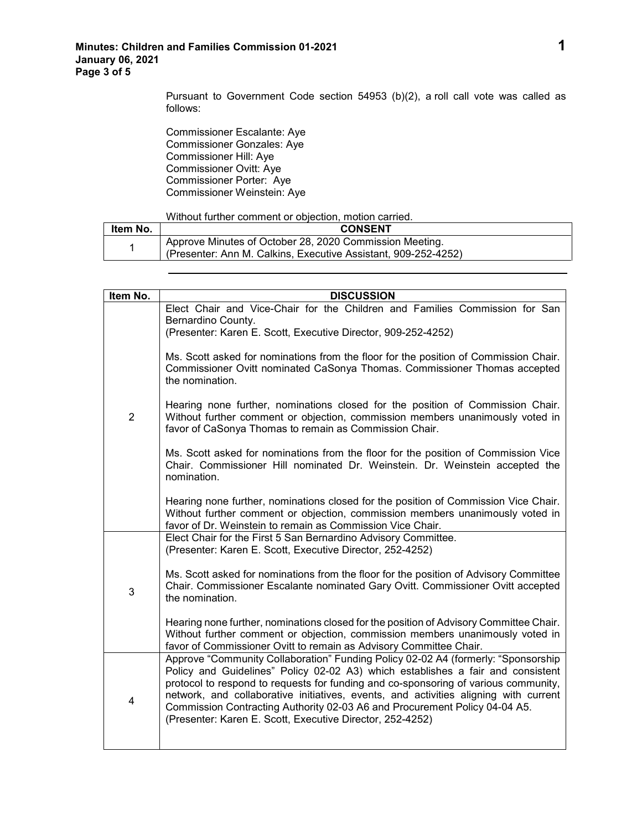Pursuant to Government Code section 54953 (b)(2), a roll call vote was called as follows:

Commissioner Escalante: Aye Commissioner Gonzales: Aye Commissioner Hill: Aye Commissioner Ovitt: Aye Commissioner Porter: Aye Commissioner Weinstein: Aye

## Without further comment or objection, motion carried.

| ltem No. | <b>CONSENT</b>                                                                                                            |
|----------|---------------------------------------------------------------------------------------------------------------------------|
|          | Approve Minutes of October 28, 2020 Commission Meeting.<br>(Presenter: Ann M. Calkins. Executive Assistant. 909-252-4252) |

| Item No.       | <b>DISCUSSION</b>                                                                                                                                                                                                                                                                                                                                                                                                                                                                              |
|----------------|------------------------------------------------------------------------------------------------------------------------------------------------------------------------------------------------------------------------------------------------------------------------------------------------------------------------------------------------------------------------------------------------------------------------------------------------------------------------------------------------|
|                | Elect Chair and Vice-Chair for the Children and Families Commission for San<br>Bernardino County.<br>(Presenter: Karen E. Scott, Executive Director, 909-252-4252)                                                                                                                                                                                                                                                                                                                             |
|                | Ms. Scott asked for nominations from the floor for the position of Commission Chair.<br>Commissioner Ovitt nominated CaSonya Thomas. Commissioner Thomas accepted<br>the nomination.                                                                                                                                                                                                                                                                                                           |
| $\overline{2}$ | Hearing none further, nominations closed for the position of Commission Chair.<br>Without further comment or objection, commission members unanimously voted in<br>favor of CaSonya Thomas to remain as Commission Chair.                                                                                                                                                                                                                                                                      |
|                | Ms. Scott asked for nominations from the floor for the position of Commission Vice<br>Chair. Commissioner Hill nominated Dr. Weinstein. Dr. Weinstein accepted the<br>nomination.                                                                                                                                                                                                                                                                                                              |
|                | Hearing none further, nominations closed for the position of Commission Vice Chair.<br>Without further comment or objection, commission members unanimously voted in<br>favor of Dr. Weinstein to remain as Commission Vice Chair.                                                                                                                                                                                                                                                             |
|                | Elect Chair for the First 5 San Bernardino Advisory Committee.<br>(Presenter: Karen E. Scott, Executive Director, 252-4252)                                                                                                                                                                                                                                                                                                                                                                    |
| 3              | Ms. Scott asked for nominations from the floor for the position of Advisory Committee<br>Chair. Commissioner Escalante nominated Gary Ovitt. Commissioner Ovitt accepted<br>the nomination.                                                                                                                                                                                                                                                                                                    |
|                | Hearing none further, nominations closed for the position of Advisory Committee Chair.<br>Without further comment or objection, commission members unanimously voted in<br>favor of Commissioner Ovitt to remain as Advisory Committee Chair.                                                                                                                                                                                                                                                  |
| 4              | Approve "Community Collaboration" Funding Policy 02-02 A4 (formerly: "Sponsorship<br>Policy and Guidelines" Policy 02-02 A3) which establishes a fair and consistent<br>protocol to respond to requests for funding and co-sponsoring of various community,<br>network, and collaborative initiatives, events, and activities aligning with current<br>Commission Contracting Authority 02-03 A6 and Procurement Policy 04-04 A5.<br>(Presenter: Karen E. Scott, Executive Director, 252-4252) |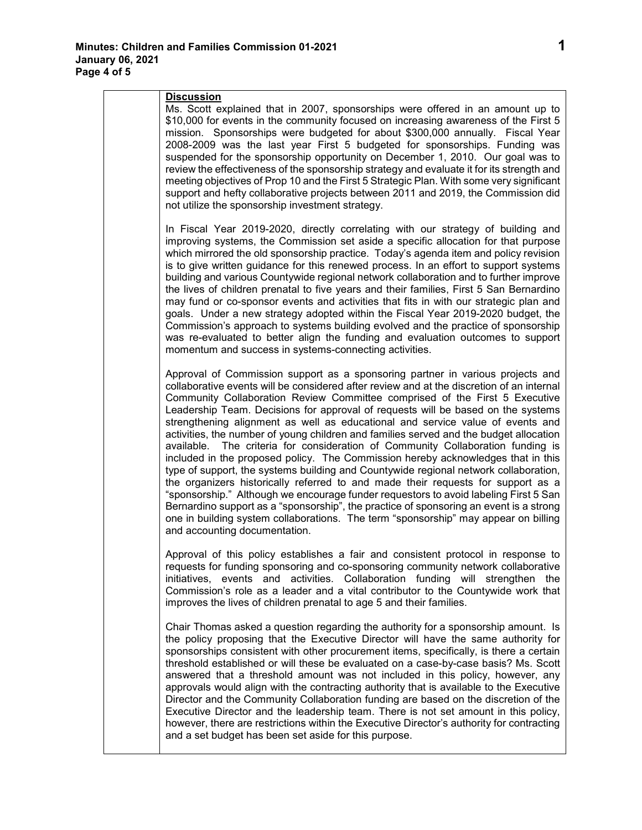| <b>Discussion</b><br>Ms. Scott explained that in 2007, sponsorships were offered in an amount up to<br>\$10,000 for events in the community focused on increasing awareness of the First 5<br>mission. Sponsorships were budgeted for about \$300,000 annually. Fiscal Year<br>2008-2009 was the last year First 5 budgeted for sponsorships. Funding was<br>suspended for the sponsorship opportunity on December 1, 2010. Our goal was to<br>review the effectiveness of the sponsorship strategy and evaluate it for its strength and<br>meeting objectives of Prop 10 and the First 5 Strategic Plan. With some very significant<br>support and hefty collaborative projects between 2011 and 2019, the Commission did<br>not utilize the sponsorship investment strategy.                                                                                                                                                                                                                                                                                                                                                                                                             |
|--------------------------------------------------------------------------------------------------------------------------------------------------------------------------------------------------------------------------------------------------------------------------------------------------------------------------------------------------------------------------------------------------------------------------------------------------------------------------------------------------------------------------------------------------------------------------------------------------------------------------------------------------------------------------------------------------------------------------------------------------------------------------------------------------------------------------------------------------------------------------------------------------------------------------------------------------------------------------------------------------------------------------------------------------------------------------------------------------------------------------------------------------------------------------------------------|
| In Fiscal Year 2019-2020, directly correlating with our strategy of building and<br>improving systems, the Commission set aside a specific allocation for that purpose<br>which mirrored the old sponsorship practice. Today's agenda item and policy revision<br>is to give written guidance for this renewed process. In an effort to support systems<br>building and various Countywide regional network collaboration and to further improve<br>the lives of children prenatal to five years and their families, First 5 San Bernardino<br>may fund or co-sponsor events and activities that fits in with our strategic plan and<br>goals. Under a new strategy adopted within the Fiscal Year 2019-2020 budget, the<br>Commission's approach to systems building evolved and the practice of sponsorship<br>was re-evaluated to better align the funding and evaluation outcomes to support<br>momentum and success in systems-connecting activities.                                                                                                                                                                                                                                 |
| Approval of Commission support as a sponsoring partner in various projects and<br>collaborative events will be considered after review and at the discretion of an internal<br>Community Collaboration Review Committee comprised of the First 5 Executive<br>Leadership Team. Decisions for approval of requests will be based on the systems<br>strengthening alignment as well as educational and service value of events and<br>activities, the number of young children and families served and the budget allocation<br>The criteria for consideration of Community Collaboration funding is<br>available.<br>included in the proposed policy. The Commission hereby acknowledges that in this<br>type of support, the systems building and Countywide regional network collaboration,<br>the organizers historically referred to and made their requests for support as a<br>"sponsorship." Although we encourage funder requestors to avoid labeling First 5 San<br>Bernardino support as a "sponsorship", the practice of sponsoring an event is a strong<br>one in building system collaborations. The term "sponsorship" may appear on billing<br>and accounting documentation. |
| Approval of this policy establishes a fair and consistent protocol in response to<br>requests for funding sponsoring and co-sponsoring community network collaborative<br>initiatives, events and activities. Collaboration funding will strengthen<br>the<br>Commission's role as a leader and a vital contributor to the Countywide work that<br>improves the lives of children prenatal to age 5 and their families.                                                                                                                                                                                                                                                                                                                                                                                                                                                                                                                                                                                                                                                                                                                                                                    |
| Chair Thomas asked a question regarding the authority for a sponsorship amount. Is<br>the policy proposing that the Executive Director will have the same authority for<br>sponsorships consistent with other procurement items, specifically, is there a certain<br>threshold established or will these be evaluated on a case-by-case basis? Ms. Scott<br>answered that a threshold amount was not included in this policy, however, any<br>approvals would align with the contracting authority that is available to the Executive<br>Director and the Community Collaboration funding are based on the discretion of the<br>Executive Director and the leadership team. There is not set amount in this policy,<br>however, there are restrictions within the Executive Director's authority for contracting<br>and a set budget has been set aside for this purpose.                                                                                                                                                                                                                                                                                                                  |
|                                                                                                                                                                                                                                                                                                                                                                                                                                                                                                                                                                                                                                                                                                                                                                                                                                                                                                                                                                                                                                                                                                                                                                                            |